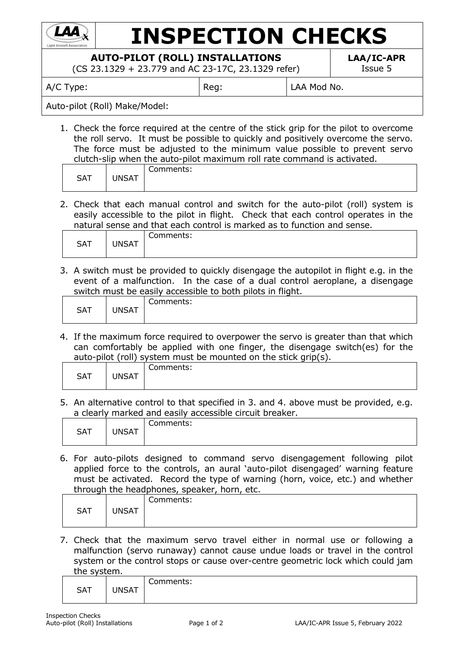

## **INSPECTION CHECKS**

**AUTO-PILOT (ROLL) INSTALLATIONS**

(CS 23.1329 + 23.779 and AC 23-17C, 23.1329 refer)

**LAA/IC-APR** Issue 5

A/C Type:  $\begin{array}{c|c} R & \text{Reg:} \end{array}$  | LAA Mod No.

Auto-pilot (Roll) Make/Model:

1. Check the force required at the centre of the stick grip for the pilot to overcome the roll servo. It must be possible to quickly and positively overcome the servo. The force must be adjusted to the minimum value possible to prevent servo clutch-slip when the auto-pilot maximum roll rate command is activated.

| <b>SAT</b> | <b>JNSAT</b> | ∽<br>Comments: |
|------------|--------------|----------------|
|------------|--------------|----------------|

2. Check that each manual control and switch for the auto-pilot (roll) system is easily accessible to the pilot in flight. Check that each control operates in the natural sense and that each control is marked as to function and sense.

| <b>SAT</b> | JNSAT | ∽<br>Comments: |
|------------|-------|----------------|
|------------|-------|----------------|

3. A switch must be provided to quickly disengage the autopilot in flight e.g. in the event of a malfunction. In the case of a dual control aeroplane, a disengage switch must be easily accessible to both pilots in flight.

| Comments:<br><b>JNSAT</b><br><b>SAT</b> |  |  |  |  |
|-----------------------------------------|--|--|--|--|

4. If the maximum force required to overpower the servo is greater than that which can comfortably be applied with one finger, the disengage switch(es) for the auto-pilot (roll) system must be mounted on the stick grip(s).

|            |              | -         |
|------------|--------------|-----------|
| <b>SAT</b> | <b>JNSAT</b> | Comments: |

5. An alternative control to that specified in 3. and 4. above must be provided, e.g. a clearly marked and easily accessible circuit breaker.

| <b>SAT</b> | <b>UNSAT</b> | Comments: |
|------------|--------------|-----------|
|            |              |           |

6. For auto-pilots designed to command servo disengagement following pilot applied force to the controls, an aural 'auto-pilot disengaged' warning feature must be activated. Record the type of warning (horn, voice, etc.) and whether through the headphones, speaker, horn, etc.

|            |              | Comments: |
|------------|--------------|-----------|
| <b>SAT</b> | <b>UNSAT</b> |           |
|            |              |           |

7. Check that the maximum servo travel either in normal use or following a malfunction (servo runaway) cannot cause undue loads or travel in the control system or the control stops or cause over-centre geometric lock which could jam the system.

| <b>SAT</b> | <b>JNSAT</b> | $\overline{\phantom{0}}$<br>:omments: |
|------------|--------------|---------------------------------------|
|            |              |                                       |
|            |              |                                       |